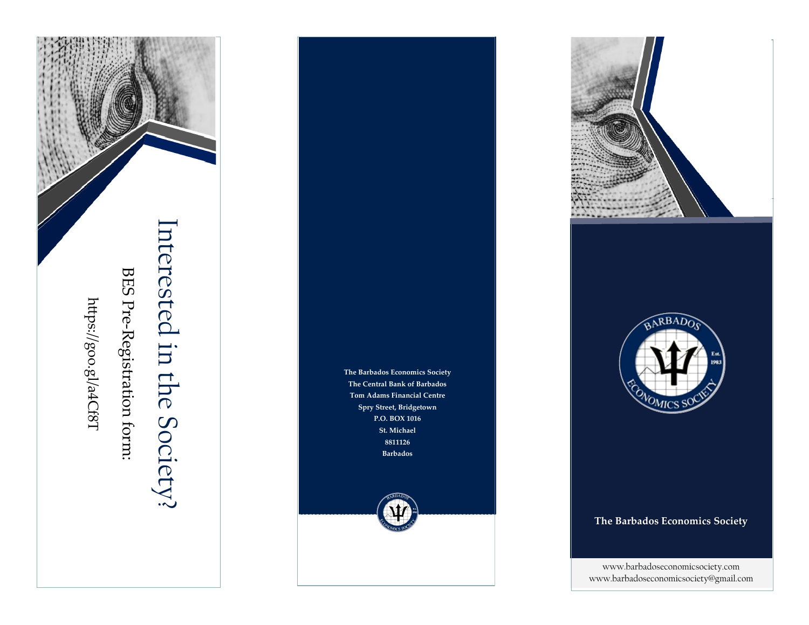

BES Pre-Registration form:

# Interested in the Society? nterested in the Society?







### **The Barbados Economics Society**

www.barbadoseconomicsociety.com www.barbadoseconomicsociety@gmail.com